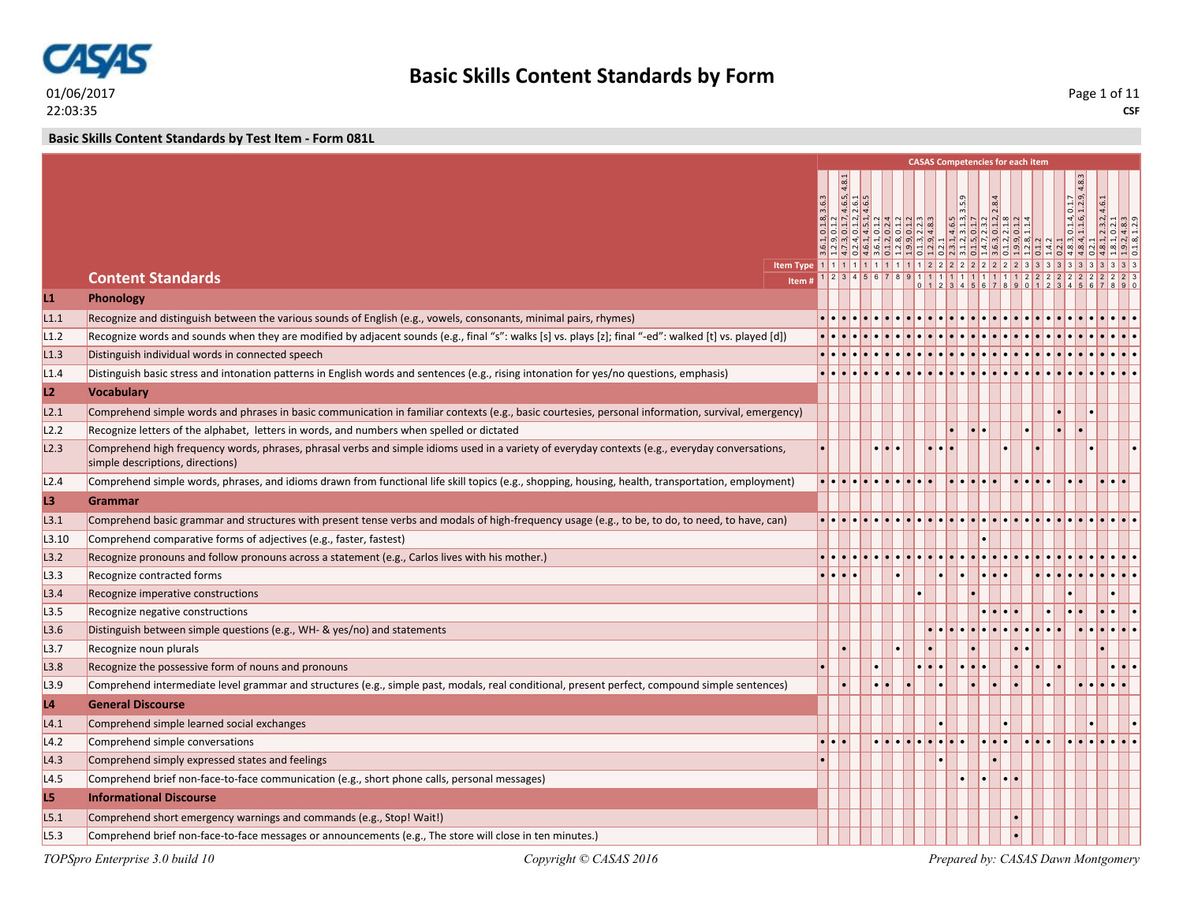

**Basic Skills Content Standards by Test Item - Form 081L**

|                |                                                                                                                                                         |       |       |                               |  |                                             |                         |           | <b>CASAS Competencies for each item</b>                                                                                                                                                                                                                                                                             |                                                               |                                             |                                                                        |
|----------------|---------------------------------------------------------------------------------------------------------------------------------------------------------|-------|-------|-------------------------------|--|---------------------------------------------|-------------------------|-----------|---------------------------------------------------------------------------------------------------------------------------------------------------------------------------------------------------------------------------------------------------------------------------------------------------------------------|---------------------------------------------------------------|---------------------------------------------|------------------------------------------------------------------------|
|                |                                                                                                                                                         |       |       |                               |  |                                             |                         |           |                                                                                                                                                                                                                                                                                                                     |                                                               |                                             |                                                                        |
|                |                                                                                                                                                         | 3.6.3 |       | $4.6.5$<br>$4.6.1$<br>$4.6.5$ |  |                                             |                         |           |                                                                                                                                                                                                                                                                                                                     |                                                               |                                             |                                                                        |
|                |                                                                                                                                                         |       |       |                               |  | $\frac{0.13}{0.11}$                         |                         |           | $\frac{4}{9}$ $\frac{3}{9}$ $\frac{1}{1}$ $\frac{1}{1}$ $\frac{1}{1}$ $\frac{1}{1}$ $\frac{1}{1}$ $\frac{1}{1}$ $\frac{1}{1}$ $\frac{1}{1}$ $\frac{1}{1}$ $\frac{1}{1}$ $\frac{1}{1}$ $\frac{1}{1}$ $\frac{1}{1}$ $\frac{1}{1}$ $\frac{1}{1}$ $\frac{1}{1}$ $\frac{1}{1}$ $\frac{1}{1}$ $\frac{1}{1}$ $\frac{1}{1}$ |                                                               | $\frac{0.1.4, 0.1.7}{1.1.6, 1.2.9,}$        | $\begin{array}{r} 2.3.2, 4.6.1 \\ 0.2.1 \\ 4.8.3 \\ 1.2.9 \end{array}$ |
|                |                                                                                                                                                         |       |       |                               |  | <u> မျှ ထု ယူ ဆု မျှ မျှ ဟု ထု ထု ယူ ထု</u> |                         |           | $\frac{1}{2} \left  \vec{v} \right  \left  \vec{v} \right  \left  \vec{v} \right  \left  \vec{w} \right  \left  \vec{v} \right  \left  \vec{w} \right  \left  \vec{w} \right $                                                                                                                                      |                                                               |                                             |                                                                        |
|                |                                                                                                                                                         |       |       |                               |  |                                             |                         |           |                                                                                                                                                                                                                                                                                                                     | <u>प्राट्टिजी बाबी पाणि परिणि पाणि पाणि पाणि पाणि बाबी का</u> |                                             |                                                                        |
|                | <b>Content Standards</b><br>Item#                                                                                                                       |       |       |                               |  |                                             |                         |           |                                                                                                                                                                                                                                                                                                                     |                                                               |                                             |                                                                        |
| L1             | Phonology                                                                                                                                               |       |       |                               |  |                                             |                         |           |                                                                                                                                                                                                                                                                                                                     |                                                               |                                             |                                                                        |
| L1.1           | Recognize and distinguish between the various sounds of English (e.g., vowels, consonants, minimal pairs, rhymes)                                       |       |       |                               |  |                                             |                         |           |                                                                                                                                                                                                                                                                                                                     |                                                               |                                             |                                                                        |
| L1.2           | Recognize words and sounds when they are modified by adjacent sounds (e.g., final "s": walks [s] vs. plays [z]; final "-ed": walked [t] vs. played [d]) |       |       |                               |  |                                             |                         |           |                                                                                                                                                                                                                                                                                                                     |                                                               |                                             |                                                                        |
| L1.3           | Distinguish individual words in connected speech                                                                                                        |       |       |                               |  |                                             |                         |           |                                                                                                                                                                                                                                                                                                                     |                                                               |                                             |                                                                        |
| L1.4           | Distinguish basic stress and intonation patterns in English words and sentences (e.g., rising intonation for yes/no questions, emphasis)                |       |       |                               |  |                                             |                         |           |                                                                                                                                                                                                                                                                                                                     |                                                               |                                             |                                                                        |
| L2             | <b>Vocabulary</b>                                                                                                                                       |       |       |                               |  |                                             |                         |           |                                                                                                                                                                                                                                                                                                                     |                                                               |                                             |                                                                        |
| L2.1           | Comprehend simple words and phrases in basic communication in familiar contexts (e.g., basic courtesies, personal information, survival, emergency)     |       |       |                               |  |                                             |                         |           |                                                                                                                                                                                                                                                                                                                     |                                                               |                                             |                                                                        |
| L2.2           | Recognize letters of the alphabet, letters in words, and numbers when spelled or dictated                                                               |       |       |                               |  |                                             |                         | $\bullet$ |                                                                                                                                                                                                                                                                                                                     |                                                               |                                             |                                                                        |
| L2.3           | Comprehend high frequency words, phrases, phrasal verbs and simple idioms used in a variety of everyday contexts (e.g., everyday conversations,         |       |       |                               |  |                                             | $\bullet$               |           |                                                                                                                                                                                                                                                                                                                     |                                                               |                                             |                                                                        |
|                | simple descriptions, directions)                                                                                                                        |       |       |                               |  |                                             |                         |           |                                                                                                                                                                                                                                                                                                                     |                                                               |                                             |                                                                        |
| L2.4           | Comprehend simple words, phrases, and idioms drawn from functional life skill topics (e.g., shopping, housing, health, transportation, employment)      |       |       |                               |  |                                             |                         |           |                                                                                                                                                                                                                                                                                                                     |                                                               |                                             |                                                                        |
| L3             | Grammar                                                                                                                                                 |       |       |                               |  |                                             |                         |           |                                                                                                                                                                                                                                                                                                                     |                                                               |                                             |                                                                        |
| L3.1           | Comprehend basic grammar and structures with present tense verbs and modals of high-frequency usage (e.g., to be, to do, to need, to have, can)         |       |       |                               |  |                                             |                         |           |                                                                                                                                                                                                                                                                                                                     |                                                               |                                             |                                                                        |
| L3.10          | Comprehend comparative forms of adjectives (e.g., faster, fastest)                                                                                      |       |       |                               |  |                                             |                         |           |                                                                                                                                                                                                                                                                                                                     |                                                               |                                             |                                                                        |
| L3.2           | Recognize pronouns and follow pronouns across a statement (e.g., Carlos lives with his mother.)                                                         |       |       |                               |  |                                             |                         |           |                                                                                                                                                                                                                                                                                                                     |                                                               |                                             |                                                                        |
| L3.3           | Recognize contracted forms                                                                                                                              |       | .     |                               |  |                                             |                         |           |                                                                                                                                                                                                                                                                                                                     |                                                               |                                             |                                                                        |
| L3.4           | Recognize imperative constructions                                                                                                                      |       |       |                               |  |                                             |                         |           |                                                                                                                                                                                                                                                                                                                     |                                                               |                                             |                                                                        |
| L3.5           | Recognize negative constructions                                                                                                                        |       |       |                               |  |                                             |                         |           |                                                                                                                                                                                                                                                                                                                     |                                                               |                                             |                                                                        |
| L3.6           | Distinguish between simple questions (e.g., WH- & yes/no) and statements                                                                                |       |       |                               |  |                                             |                         |           |                                                                                                                                                                                                                                                                                                                     |                                                               |                                             |                                                                        |
| L3.7           | Recognize noun plurals                                                                                                                                  |       |       |                               |  |                                             |                         |           |                                                                                                                                                                                                                                                                                                                     |                                                               |                                             |                                                                        |
| L3.8           | Recognize the possessive form of nouns and pronouns                                                                                                     |       |       |                               |  |                                             | $\bullet\bullet\bullet$ |           |                                                                                                                                                                                                                                                                                                                     |                                                               |                                             |                                                                        |
| L3.9           | Comprehend intermediate level grammar and structures (e.g., simple past, modals, real conditional, present perfect, compound simple sentences)          |       |       |                               |  |                                             |                         |           |                                                                                                                                                                                                                                                                                                                     |                                                               |                                             |                                                                        |
| L <sub>4</sub> | <b>General Discourse</b>                                                                                                                                |       |       |                               |  |                                             |                         |           |                                                                                                                                                                                                                                                                                                                     |                                                               |                                             |                                                                        |
| L4.1           | Comprehend simple learned social exchanges                                                                                                              |       |       |                               |  |                                             |                         |           |                                                                                                                                                                                                                                                                                                                     |                                                               |                                             |                                                                        |
| L4.2           | Comprehend simple conversations                                                                                                                         |       | •∣•∣• |                               |  |                                             |                         |           |                                                                                                                                                                                                                                                                                                                     |                                                               | $  \bullet   \bullet   \bullet   \bullet  $ |                                                                        |
| L4.3           | Comprehend simply expressed states and feelings                                                                                                         |       |       |                               |  |                                             |                         |           |                                                                                                                                                                                                                                                                                                                     |                                                               |                                             |                                                                        |
| L4.5           | Comprehend brief non-face-to-face communication (e.g., short phone calls, personal messages)                                                            |       |       |                               |  |                                             |                         |           | l.                                                                                                                                                                                                                                                                                                                  |                                                               |                                             |                                                                        |
| L5             | <b>Informational Discourse</b>                                                                                                                          |       |       |                               |  |                                             |                         |           |                                                                                                                                                                                                                                                                                                                     |                                                               |                                             |                                                                        |
| L5.1           | Comprehend short emergency warnings and commands (e.g., Stop! Wait!)                                                                                    |       |       |                               |  |                                             |                         |           |                                                                                                                                                                                                                                                                                                                     |                                                               |                                             |                                                                        |
| L5.3           | Comprehend brief non-face-to-face messages or announcements (e.g., The store will close in ten minutes.)                                                |       |       |                               |  |                                             |                         |           |                                                                                                                                                                                                                                                                                                                     |                                                               |                                             |                                                                        |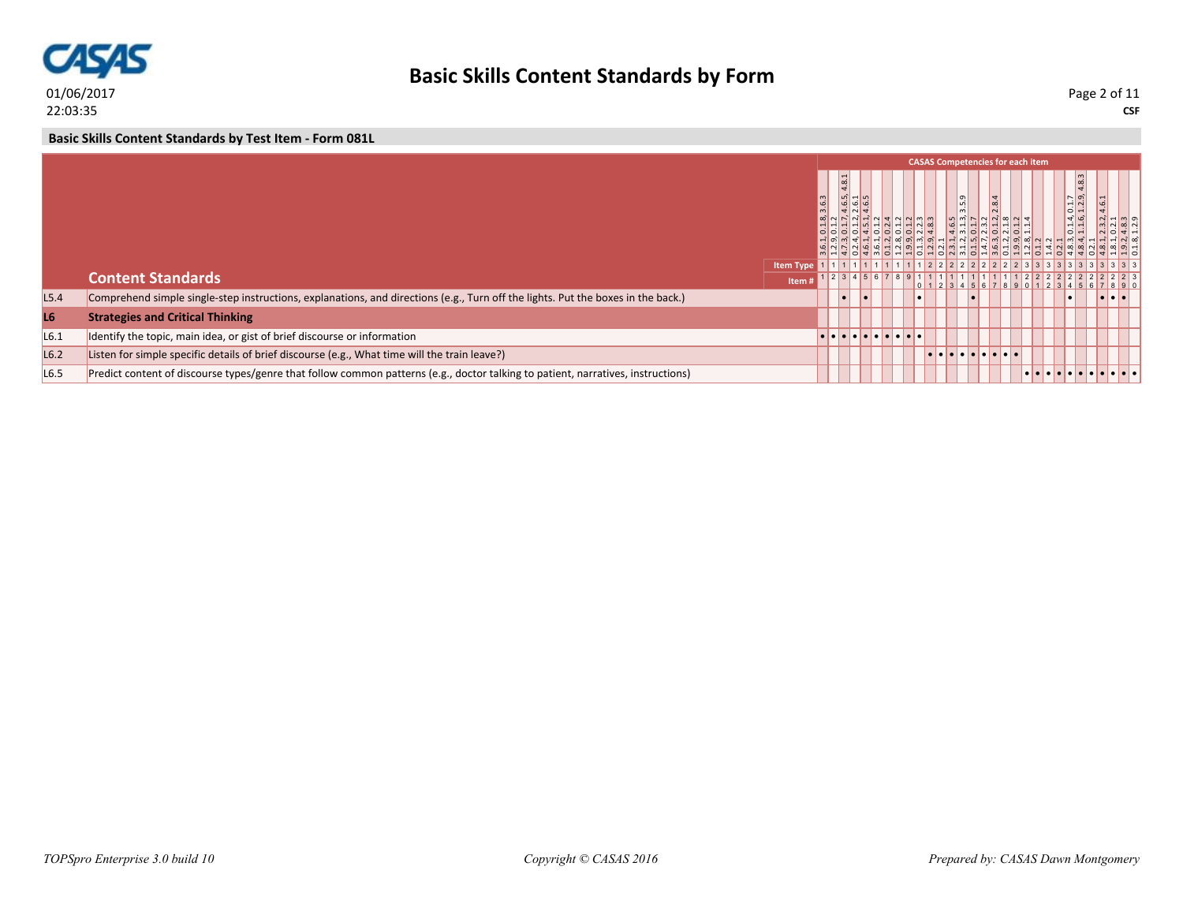

**Basic Skills Content Standards by Test Item - Form 081L**

|                  |                                                                                                                                  |                  |       |          |  |                                                                                                               |  | <b>CASAS Competencies for each item</b> |                                                                                    |  |  |                                         |      |
|------------------|----------------------------------------------------------------------------------------------------------------------------------|------------------|-------|----------|--|---------------------------------------------------------------------------------------------------------------|--|-----------------------------------------|------------------------------------------------------------------------------------|--|--|-----------------------------------------|------|
|                  |                                                                                                                                  |                  | 3.6.3 |          |  | $\overline{\bigcirc}$ $\overline{\bigcirc}$ $\overline{\bigcirc}$ $\overline{\bigcirc}$ $\overline{\bigcirc}$ |  | 씨이닉닉이닉이어씨 이닉ሣ이어出님의                      | l<br>$\frac{1}{2}$ m $\frac{1}{2}$ n $\frac{1}{2}$ n $\frac{1}{2}$ n $\frac{1}{2}$ |  |  | $0.1.4, 0.1.7$<br>$1.1.6, 1.2.9, 4.8.3$ |      |
|                  |                                                                                                                                  | <b>Item Type</b> |       |          |  |                                                                                                               |  | $1111111111122222222222233333333$       |                                                                                    |  |  |                                         |      |
|                  | <b>Content Standards</b>                                                                                                         | Item i           |       |          |  |                                                                                                               |  | 2345678911111111111122222               |                                                                                    |  |  |                                         | 2223 |
| L5.4             | Comprehend simple single-step instructions, explanations, and directions (e.g., Turn off the lights. Put the boxes in the back.) |                  |       | <b>D</b> |  |                                                                                                               |  |                                         |                                                                                    |  |  |                                         |      |
| L6               | <b>Strategies and Critical Thinking</b>                                                                                          |                  |       |          |  |                                                                                                               |  |                                         |                                                                                    |  |  |                                         |      |
| L6.1             | Identify the topic, main idea, or gist of brief discourse or information                                                         |                  |       |          |  |                                                                                                               |  |                                         |                                                                                    |  |  |                                         |      |
| L <sub>6.2</sub> | Listen for simple specific details of brief discourse (e.g., What time will the train leave?)                                    |                  |       |          |  |                                                                                                               |  | <u> La La La La La La La La</u>         |                                                                                    |  |  |                                         |      |
| L <sub>6.5</sub> | Predict content of discourse types/genre that follow common patterns (e.g., doctor talking to patient, narratives, instructions) |                  |       |          |  |                                                                                                               |  |                                         |                                                                                    |  |  | .                                       |      |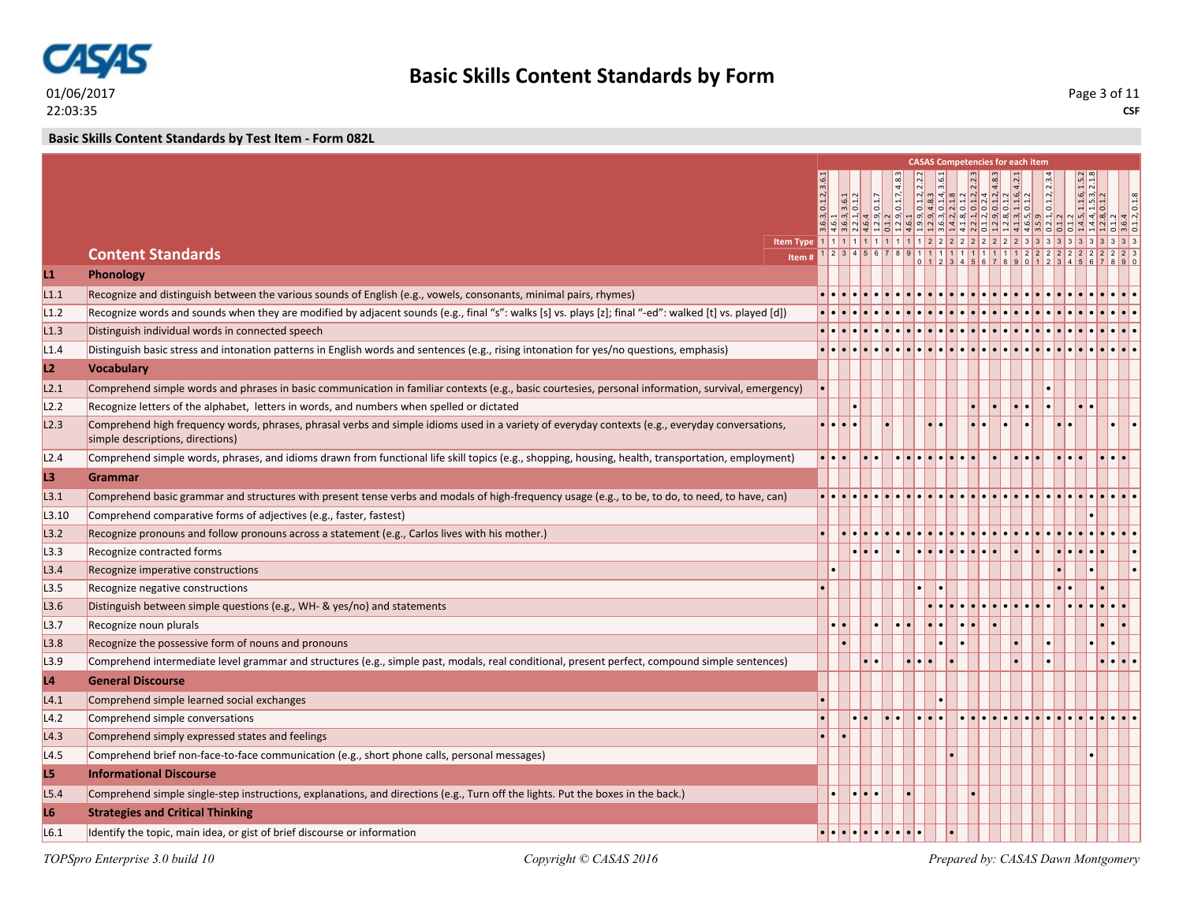

**Basic Skills Content Standards by Test Item - Form 082L**

|                |                                                                                                                                                                                     |           |                                |                                           |       |                                           |  |  |  | <b>CASAS Competencies for each item</b>                                                                                                                                                                                                                                                                                                                                                                                                                        |                                                                                                      |                                   |  |
|----------------|-------------------------------------------------------------------------------------------------------------------------------------------------------------------------------------|-----------|--------------------------------|-------------------------------------------|-------|-------------------------------------------|--|--|--|----------------------------------------------------------------------------------------------------------------------------------------------------------------------------------------------------------------------------------------------------------------------------------------------------------------------------------------------------------------------------------------------------------------------------------------------------------------|------------------------------------------------------------------------------------------------------|-----------------------------------|--|
|                |                                                                                                                                                                                     | 0.1.2, 3. |                                | $\begin{array}{c} 3.6 \\ 0.1 \end{array}$ | 0.1.7 |                                           |  |  |  | $\begin{array}{r} 0.1.2,2.2.2 \\ \textcolor{red}{\textbf{14.8.3}} \\ \textcolor{red}{\textbf{14.3.6.1}} \\ \textcolor{red}{\textbf{0.1.4}} \\ \textcolor{red}{\textbf{0.1.2}} \\ \textcolor{red}{\textbf{0.1.2}} \\ \textcolor{red}{\textbf{0.1.2}} \\ \textcolor{red}{\textbf{0.1.2}} \\ \textcolor{red}{\textbf{0.1.3}} \\ \textcolor{red}{\textbf{0.1.4}} \\ \textcolor{red}{\textbf{0.1.2}} \\ \textcolor{red}{\textbf{0.1.3}} \\ \textcolor{red}{\textbf$ | $\lvert$ $\sim$<br>0.1.2,<br>- ကြွ -- မြ စြ မြ စြ မြ စြ စြ မြ ဟု မြ စြ မြ ဟု စြ စြ ဖြ ဖြ ဖြ စြ မြ မြ | $\frac{11.6}{15.3}$<br>$\sqrt{q}$ |  |
|                | <b>Content Standards</b><br>Item#                                                                                                                                                   |           |                                |                                           |       | 1 2 3 4 5 6 7 8 9 1 1 1 1 1 1 1 1 1 1 1 2 |  |  |  |                                                                                                                                                                                                                                                                                                                                                                                                                                                                |                                                                                                      |                                   |  |
| L1             | Phonology                                                                                                                                                                           |           |                                |                                           |       |                                           |  |  |  |                                                                                                                                                                                                                                                                                                                                                                                                                                                                |                                                                                                      |                                   |  |
| L1.1           | Recognize and distinguish between the various sounds of English (e.g., vowels, consonants, minimal pairs, rhymes)                                                                   |           |                                |                                           |       |                                           |  |  |  |                                                                                                                                                                                                                                                                                                                                                                                                                                                                |                                                                                                      |                                   |  |
| L1.2           | Recognize words and sounds when they are modified by adjacent sounds (e.g., final "s": walks [s] vs. plays [z]; final "-ed": walked [t] vs. played [d])                             |           |                                |                                           |       |                                           |  |  |  |                                                                                                                                                                                                                                                                                                                                                                                                                                                                |                                                                                                      |                                   |  |
| L1.3           | Distinguish individual words in connected speech                                                                                                                                    |           |                                |                                           |       |                                           |  |  |  |                                                                                                                                                                                                                                                                                                                                                                                                                                                                |                                                                                                      |                                   |  |
| L1.4           | Distinguish basic stress and intonation patterns in English words and sentences (e.g., rising intonation for yes/no questions, emphasis)                                            |           |                                |                                           |       |                                           |  |  |  |                                                                                                                                                                                                                                                                                                                                                                                                                                                                |                                                                                                      |                                   |  |
| L2             | <b>Vocabulary</b>                                                                                                                                                                   |           |                                |                                           |       |                                           |  |  |  |                                                                                                                                                                                                                                                                                                                                                                                                                                                                |                                                                                                      |                                   |  |
| L2.1           | Comprehend simple words and phrases in basic communication in familiar contexts (e.g., basic courtesies, personal information, survival, emergency)                                 |           |                                |                                           |       |                                           |  |  |  |                                                                                                                                                                                                                                                                                                                                                                                                                                                                |                                                                                                      |                                   |  |
| L2.2           | Recognize letters of the alphabet, letters in words, and numbers when spelled or dictated                                                                                           |           |                                |                                           |       |                                           |  |  |  |                                                                                                                                                                                                                                                                                                                                                                                                                                                                |                                                                                                      |                                   |  |
| L2.3           | Comprehend high frequency words, phrases, phrasal verbs and simple idioms used in a variety of everyday contexts (e.g., everyday conversations,<br>simple descriptions, directions) |           | $\bullet\bullet\bullet\bullet$ |                                           |       |                                           |  |  |  |                                                                                                                                                                                                                                                                                                                                                                                                                                                                |                                                                                                      |                                   |  |
| L2.4           | Comprehend simple words, phrases, and idioms drawn from functional life skill topics (e.g., shopping, housing, health, transportation, employment)                                  |           | $\cdot \cdot \cdot$            |                                           |       |                                           |  |  |  |                                                                                                                                                                                                                                                                                                                                                                                                                                                                |                                                                                                      |                                   |  |
| L3             | Grammar                                                                                                                                                                             |           |                                |                                           |       |                                           |  |  |  |                                                                                                                                                                                                                                                                                                                                                                                                                                                                |                                                                                                      |                                   |  |
| L3.1           | Comprehend basic grammar and structures with present tense verbs and modals of high-frequency usage (e.g., to be, to do, to need, to have, can)                                     |           |                                |                                           |       |                                           |  |  |  |                                                                                                                                                                                                                                                                                                                                                                                                                                                                |                                                                                                      |                                   |  |
| L3.10          | Comprehend comparative forms of adjectives (e.g., faster, fastest)                                                                                                                  |           |                                |                                           |       |                                           |  |  |  |                                                                                                                                                                                                                                                                                                                                                                                                                                                                |                                                                                                      |                                   |  |
| L3.2           | Recognize pronouns and follow pronouns across a statement (e.g., Carlos lives with his mother.)                                                                                     |           |                                |                                           |       |                                           |  |  |  |                                                                                                                                                                                                                                                                                                                                                                                                                                                                |                                                                                                      |                                   |  |
| L3.3           | Recognize contracted forms                                                                                                                                                          |           |                                |                                           |       |                                           |  |  |  |                                                                                                                                                                                                                                                                                                                                                                                                                                                                |                                                                                                      |                                   |  |
| L3.4           | Recognize imperative constructions                                                                                                                                                  |           |                                |                                           |       |                                           |  |  |  |                                                                                                                                                                                                                                                                                                                                                                                                                                                                |                                                                                                      |                                   |  |
| L3.5           | Recognize negative constructions                                                                                                                                                    |           |                                |                                           |       |                                           |  |  |  |                                                                                                                                                                                                                                                                                                                                                                                                                                                                |                                                                                                      |                                   |  |
| L3.6           | Distinguish between simple questions (e.g., WH- & yes/no) and statements                                                                                                            |           |                                |                                           |       |                                           |  |  |  |                                                                                                                                                                                                                                                                                                                                                                                                                                                                |                                                                                                      |                                   |  |
| L3.7           | Recognize noun plurals                                                                                                                                                              |           |                                |                                           |       |                                           |  |  |  |                                                                                                                                                                                                                                                                                                                                                                                                                                                                |                                                                                                      |                                   |  |
| L3.8           | Recognize the possessive form of nouns and pronouns                                                                                                                                 |           |                                |                                           |       |                                           |  |  |  |                                                                                                                                                                                                                                                                                                                                                                                                                                                                |                                                                                                      |                                   |  |
| L3.9           | Comprehend intermediate level grammar and structures (e.g., simple past, modals, real conditional, present perfect, compound simple sentences)                                      |           |                                |                                           |       |                                           |  |  |  |                                                                                                                                                                                                                                                                                                                                                                                                                                                                |                                                                                                      |                                   |  |
| L4             | <b>General Discourse</b>                                                                                                                                                            |           |                                |                                           |       |                                           |  |  |  |                                                                                                                                                                                                                                                                                                                                                                                                                                                                |                                                                                                      |                                   |  |
| L4.1           | Comprehend simple learned social exchanges                                                                                                                                          |           |                                |                                           |       |                                           |  |  |  |                                                                                                                                                                                                                                                                                                                                                                                                                                                                |                                                                                                      |                                   |  |
| L4.2           | Comprehend simple conversations                                                                                                                                                     |           |                                |                                           |       |                                           |  |  |  |                                                                                                                                                                                                                                                                                                                                                                                                                                                                |                                                                                                      |                                   |  |
| L4.3           | Comprehend simply expressed states and feelings                                                                                                                                     |           |                                |                                           |       |                                           |  |  |  |                                                                                                                                                                                                                                                                                                                                                                                                                                                                |                                                                                                      |                                   |  |
| L4.5           | Comprehend brief non-face-to-face communication (e.g., short phone calls, personal messages)                                                                                        |           |                                |                                           |       |                                           |  |  |  |                                                                                                                                                                                                                                                                                                                                                                                                                                                                |                                                                                                      |                                   |  |
| L5             | <b>Informational Discourse</b>                                                                                                                                                      |           |                                |                                           |       |                                           |  |  |  |                                                                                                                                                                                                                                                                                                                                                                                                                                                                |                                                                                                      |                                   |  |
| L5.4           | Comprehend simple single-step instructions, explanations, and directions (e.g., Turn off the lights. Put the boxes in the back.)                                                    |           |                                | $  \cdot   \cdot   \cdot$                 |       |                                           |  |  |  |                                                                                                                                                                                                                                                                                                                                                                                                                                                                |                                                                                                      |                                   |  |
| L <sub>6</sub> | <b>Strategies and Critical Thinking</b>                                                                                                                                             |           |                                |                                           |       |                                           |  |  |  |                                                                                                                                                                                                                                                                                                                                                                                                                                                                |                                                                                                      |                                   |  |
| L6.1           | Identify the topic, main idea, or gist of brief discourse or information                                                                                                            |           |                                |                                           |       | . <b>.</b>                                |  |  |  |                                                                                                                                                                                                                                                                                                                                                                                                                                                                |                                                                                                      |                                   |  |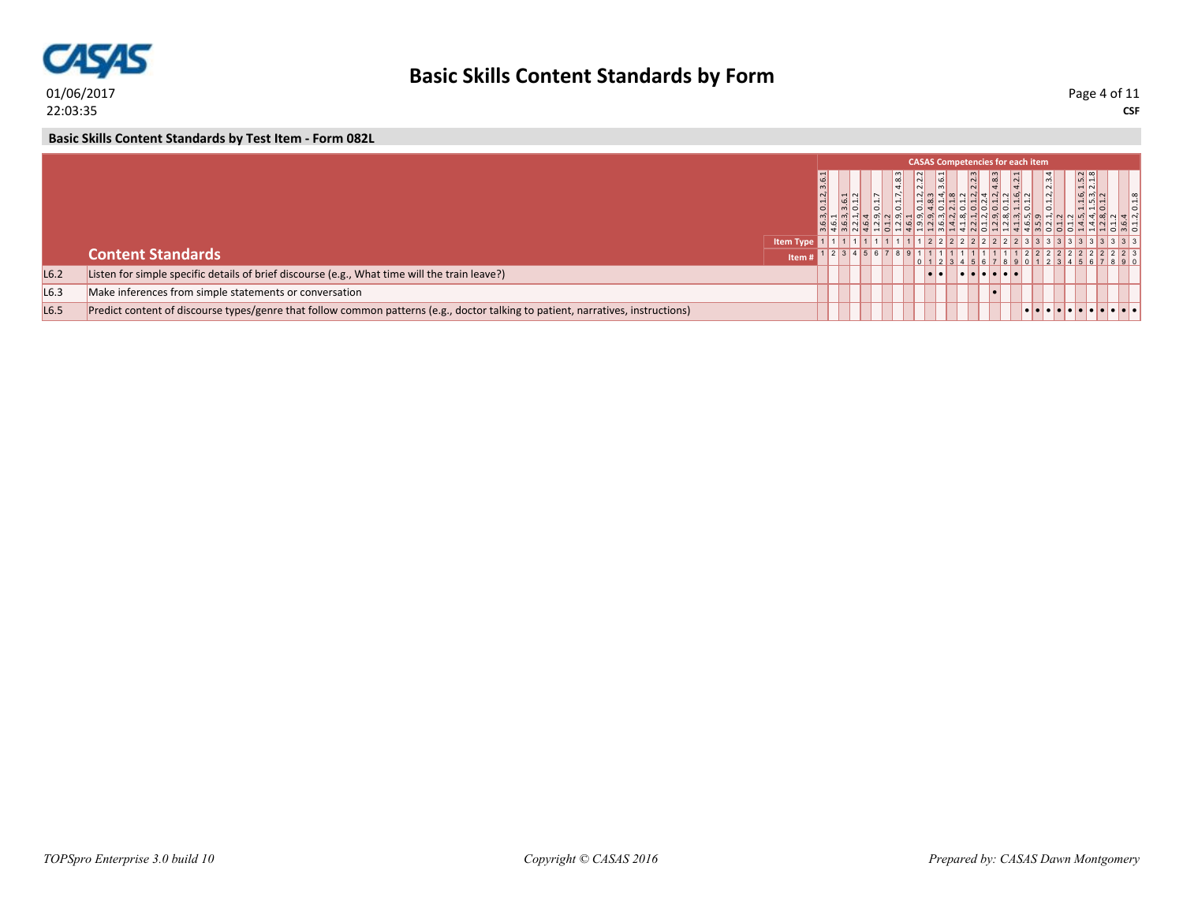

**Basic Skills Content Standards by Test Item - Form 082L**

|                  |                                                                                                                                  |                  |           |  |       |                                         | <b>CASAS Competencies for each item</b> |     |                            |               |                                       |  |
|------------------|----------------------------------------------------------------------------------------------------------------------------------|------------------|-----------|--|-------|-----------------------------------------|-----------------------------------------|-----|----------------------------|---------------|---------------------------------------|--|
|                  |                                                                                                                                  |                  | 3, 0.1.2, |  | 4.8.3 | $\overline{\mathsf{N}}$<br>$\mathbb{N}$ | $\frac{6}{3}$                           | 2.2 | $\frac{a}{4}$              | $\frac{1}{2}$ | $1.5.2$<br>$2.1.8$                    |  |
|                  |                                                                                                                                  | <b>Item Type</b> |           |  |       |                                         | $11111112222222222233333333$            |     |                            |               |                                       |  |
|                  | <b>Content Standards</b>                                                                                                         | Item             |           |  |       |                                         |                                         |     |                            |               |                                       |  |
| L6.2             | Listen for simple specific details of brief discourse (e.g., What time will the train leave?)                                    |                  |           |  |       | . .<br>۰.                               |                                         |     | <u>i e i e i e i e i e</u> |               |                                       |  |
| L6.3             | Make inferences from simple statements or conversation                                                                           |                  |           |  |       |                                         |                                         |     |                            |               |                                       |  |
| L <sub>6.5</sub> | Predict content of discourse types/genre that follow common patterns (e.g., doctor talking to patient, narratives, instructions) |                  |           |  |       |                                         |                                         |     |                            |               | <u>e le le le le le le le le le</u> l |  |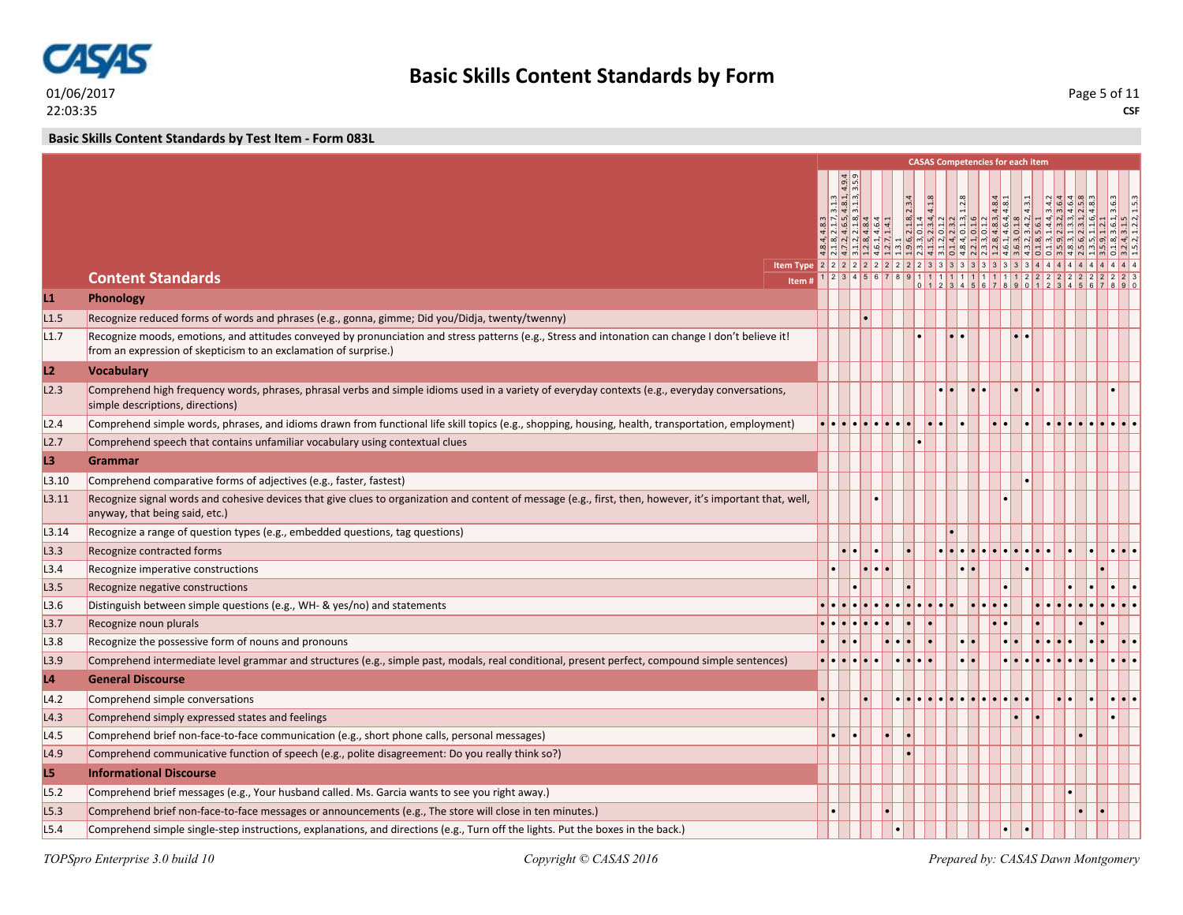

**Basic Skills Content Standards by Test Item - Form 083L**

|       |                                                                                                                                                                                                                        |       |                                                                                             |                                                                                                                                             |              |  | <b>CASAS Competencies for each item</b> |  |                                                                                                                                                                                                                                                                                            |    |                            |                 |
|-------|------------------------------------------------------------------------------------------------------------------------------------------------------------------------------------------------------------------------|-------|---------------------------------------------------------------------------------------------|---------------------------------------------------------------------------------------------------------------------------------------------|--------------|--|-----------------------------------------|--|--------------------------------------------------------------------------------------------------------------------------------------------------------------------------------------------------------------------------------------------------------------------------------------------|----|----------------------------|-----------------|
|       |                                                                                                                                                                                                                        |       |                                                                                             |                                                                                                                                             |              |  |                                         |  |                                                                                                                                                                                                                                                                                            |    |                            |                 |
|       |                                                                                                                                                                                                                        |       | $m - 1m$                                                                                    |                                                                                                                                             |              |  |                                         |  |                                                                                                                                                                                                                                                                                            |    |                            |                 |
|       |                                                                                                                                                                                                                        |       | 31.3<br>$\frac{1}{2}$ $\frac{1}{2}$ $\frac{1}{2}$ $\frac{1}{2}$ $\frac{1}{2}$ $\frac{1}{2}$ |                                                                                                                                             |              |  |                                         |  | $\begin{array}{l l l} 2.18 & 2.34 \\ 2.014 & 4.18 \\ 2.034 & 4.13 \\ 2.31 & 2.12 \\ 2.13 & 2.12 \\ 2.13 & 2.12 \\ 2.13 & 2.12 \\ 2.13 & 2.13 \\ 2.13 & 2.13 \\ 2.13 & 2.13 \\ 2.13 & 2.13 \\ 2.13 & 2.13 \\ 2.13 & 2.13 \\ 2.13 & 2.13 \\ 2.13 & 2.13 \\ 2.13 & 2.13 \\ 2.13 & 2.13 \\ 2.$ |    | 3.6.3                      | $\frac{153}{2}$ |
|       |                                                                                                                                                                                                                        |       |                                                                                             | $\frac{4}{2}$ $\frac{3}{1}$ $\frac{1}{4}$ $\frac{5}{6}$ $\frac{3}{1}$ $\frac{3}{4}$ $\frac{4}{8}$ $\frac{4}{9}$ $\frac{4}{1}$ $\frac{4}{1}$ |              |  |                                         |  |                                                                                                                                                                                                                                                                                            |    |                            |                 |
|       |                                                                                                                                                                                                                        |       |                                                                                             |                                                                                                                                             |              |  |                                         |  |                                                                                                                                                                                                                                                                                            |    |                            |                 |
|       | <b>Content Standards</b>                                                                                                                                                                                               |       |                                                                                             |                                                                                                                                             |              |  |                                         |  |                                                                                                                                                                                                                                                                                            |    |                            |                 |
|       |                                                                                                                                                                                                                        | Item# |                                                                                             |                                                                                                                                             |              |  |                                         |  | $23456789111111111111222222222222$                                                                                                                                                                                                                                                         |    |                            |                 |
| L1    | Phonology                                                                                                                                                                                                              |       |                                                                                             |                                                                                                                                             |              |  |                                         |  |                                                                                                                                                                                                                                                                                            |    |                            |                 |
| L1.5  | Recognize reduced forms of words and phrases (e.g., gonna, gimme; Did you/Didja, twenty/twenny)                                                                                                                        |       |                                                                                             |                                                                                                                                             |              |  |                                         |  |                                                                                                                                                                                                                                                                                            |    |                            |                 |
| L1.7  | Recognize moods, emotions, and attitudes conveyed by pronunciation and stress patterns (e.g., Stress and intonation can change I don't believe it!<br>from an expression of skepticism to an exclamation of surprise.) |       |                                                                                             |                                                                                                                                             |              |  |                                         |  |                                                                                                                                                                                                                                                                                            |    |                            |                 |
| L2    | <b>Vocabulary</b>                                                                                                                                                                                                      |       |                                                                                             |                                                                                                                                             |              |  |                                         |  |                                                                                                                                                                                                                                                                                            |    |                            |                 |
| L2.3  | Comprehend high frequency words, phrases, phrasal verbs and simple idioms used in a variety of everyday contexts (e.g., everyday conversations,<br>simple descriptions, directions)                                    |       |                                                                                             |                                                                                                                                             |              |  |                                         |  |                                                                                                                                                                                                                                                                                            |    |                            |                 |
| L2.4  | Comprehend simple words, phrases, and idioms drawn from functional life skill topics (e.g., shopping, housing, health, transportation, employment)                                                                     |       |                                                                                             |                                                                                                                                             |              |  |                                         |  |                                                                                                                                                                                                                                                                                            |    |                            |                 |
| L2.7  | Comprehend speech that contains unfamiliar vocabulary using contextual clues                                                                                                                                           |       |                                                                                             |                                                                                                                                             |              |  |                                         |  |                                                                                                                                                                                                                                                                                            |    |                            |                 |
| L3    | Grammar                                                                                                                                                                                                                |       |                                                                                             |                                                                                                                                             |              |  |                                         |  |                                                                                                                                                                                                                                                                                            |    |                            |                 |
| L3.10 | Comprehend comparative forms of adjectives (e.g., faster, fastest)                                                                                                                                                     |       |                                                                                             |                                                                                                                                             |              |  |                                         |  |                                                                                                                                                                                                                                                                                            |    |                            |                 |
| L3.11 | Recognize signal words and cohesive devices that give clues to organization and content of message (e.g., first, then, however, it's important that, well,<br>anyway, that being said, etc.)                           |       |                                                                                             |                                                                                                                                             |              |  |                                         |  |                                                                                                                                                                                                                                                                                            |    |                            |                 |
| L3.14 | Recognize a range of question types (e.g., embedded questions, tag questions)                                                                                                                                          |       |                                                                                             |                                                                                                                                             |              |  |                                         |  |                                                                                                                                                                                                                                                                                            |    |                            |                 |
| L3.3  | Recognize contracted forms                                                                                                                                                                                             |       |                                                                                             |                                                                                                                                             |              |  |                                         |  |                                                                                                                                                                                                                                                                                            |    | .                          |                 |
| L3.4  | Recognize imperative constructions                                                                                                                                                                                     |       |                                                                                             |                                                                                                                                             |              |  |                                         |  |                                                                                                                                                                                                                                                                                            |    |                            |                 |
| L3.5  | Recognize negative constructions                                                                                                                                                                                       |       |                                                                                             |                                                                                                                                             |              |  |                                         |  |                                                                                                                                                                                                                                                                                            |    |                            |                 |
| L3.6  | Distinguish between simple questions (e.g., WH- & yes/no) and statements                                                                                                                                               |       |                                                                                             |                                                                                                                                             |              |  |                                         |  |                                                                                                                                                                                                                                                                                            |    |                            |                 |
| L3.7  | Recognize noun plurals                                                                                                                                                                                                 |       |                                                                                             |                                                                                                                                             |              |  |                                         |  |                                                                                                                                                                                                                                                                                            |    |                            |                 |
| L3.8  | Recognize the possessive form of nouns and pronouns                                                                                                                                                                    |       |                                                                                             |                                                                                                                                             |              |  |                                         |  |                                                                                                                                                                                                                                                                                            |    |                            |                 |
| L3.9  | Comprehend intermediate level grammar and structures (e.g., simple past, modals, real conditional, present perfect, compound simple sentences)                                                                         |       | e le le le le                                                                               |                                                                                                                                             |              |  |                                         |  |                                                                                                                                                                                                                                                                                            |    |                            |                 |
| L4    | <b>General Discourse</b>                                                                                                                                                                                               |       |                                                                                             |                                                                                                                                             |              |  |                                         |  |                                                                                                                                                                                                                                                                                            |    |                            |                 |
| L4.2  | Comprehend simple conversations                                                                                                                                                                                        |       |                                                                                             |                                                                                                                                             | . <b>.</b> . |  |                                         |  |                                                                                                                                                                                                                                                                                            | I۰ | $ \bullet \bullet \bullet$ |                 |
| L4.3  | Comprehend simply expressed states and feelings                                                                                                                                                                        |       |                                                                                             |                                                                                                                                             |              |  |                                         |  |                                                                                                                                                                                                                                                                                            |    |                            |                 |
| L4.5  | Comprehend brief non-face-to-face communication (e.g., short phone calls, personal messages)                                                                                                                           |       |                                                                                             |                                                                                                                                             |              |  |                                         |  |                                                                                                                                                                                                                                                                                            |    |                            |                 |
| L4.9  | Comprehend communicative function of speech (e.g., polite disagreement: Do you really think so?)                                                                                                                       |       |                                                                                             |                                                                                                                                             |              |  |                                         |  |                                                                                                                                                                                                                                                                                            |    |                            |                 |
| L5    | <b>Informational Discourse</b>                                                                                                                                                                                         |       |                                                                                             |                                                                                                                                             |              |  |                                         |  |                                                                                                                                                                                                                                                                                            |    |                            |                 |
| L5.2  | Comprehend brief messages (e.g., Your husband called. Ms. Garcia wants to see you right away.)                                                                                                                         |       |                                                                                             |                                                                                                                                             |              |  |                                         |  |                                                                                                                                                                                                                                                                                            |    |                            |                 |
| L5.3  | Comprehend brief non-face-to-face messages or announcements (e.g., The store will close in ten minutes.)                                                                                                               |       |                                                                                             |                                                                                                                                             |              |  |                                         |  |                                                                                                                                                                                                                                                                                            |    |                            |                 |
| L5.4  | Comprehend simple single-step instructions, explanations, and directions (e.g., Turn off the lights. Put the boxes in the back.)                                                                                       |       |                                                                                             |                                                                                                                                             |              |  |                                         |  |                                                                                                                                                                                                                                                                                            |    |                            |                 |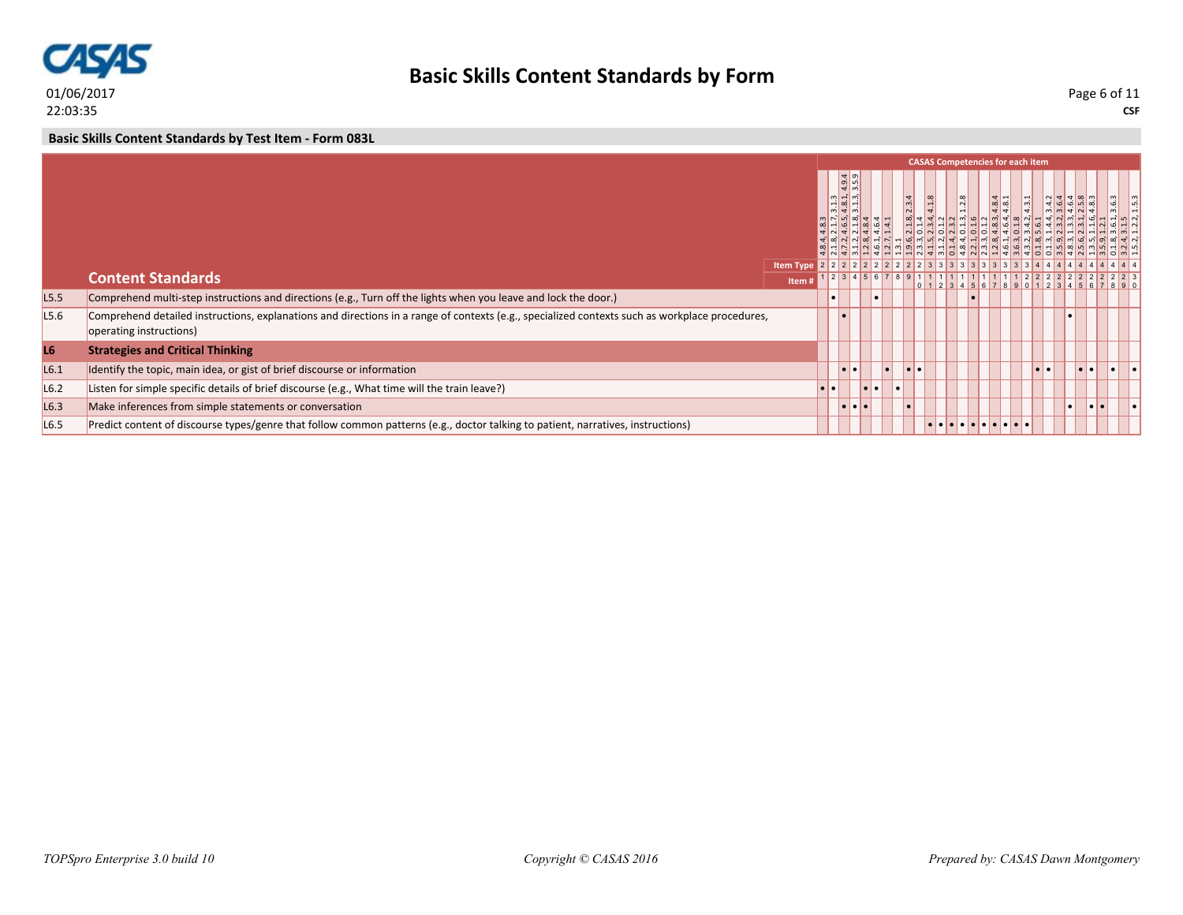

**Basic Skills Content Standards by Form**

**CSF** Page 6 of 11

**Basic Skills Content Standards by Test Item - Form 083L**

|                  |                                                                                                                                                                           |       |           |                                                                                                               |                         |           |       |       |                   | <b>CASAS Competencies for each item</b>  |                         |                         |   |  |
|------------------|---------------------------------------------------------------------------------------------------------------------------------------------------------------------------|-------|-----------|---------------------------------------------------------------------------------------------------------------|-------------------------|-----------|-------|-------|-------------------|------------------------------------------|-------------------------|-------------------------|---|--|
|                  |                                                                                                                                                                           |       |           | $\frac{9}{4}$ $\frac{1}{9}$<br>$\frac{1}{2}$<br>$m - m$<br>$\frac{1}{2}$ $\frac{1}{2}$ $\frac{1}{2}$<br>$m +$ |                         |           | 2.3.4 | 4.1.8 | $\frac{3}{1.2.8}$ | $4.\overline{8}.4$<br>$4.\overline{8}.1$ |                         |                         |   |  |
|                  | <b>Content Standards</b>                                                                                                                                                  | Item# |           |                                                                                                               | 1 2 3 4 5 6 7 8 9 1 1 1 |           |       |       |                   |                                          |                         |                         |   |  |
| L5.5             | Comprehend multi-step instructions and directions (e.g., Turn off the lights when you leave and lock the door.)                                                           |       |           |                                                                                                               |                         |           |       |       |                   |                                          |                         |                         |   |  |
| L5.6             | Comprehend detailed instructions, explanations and directions in a range of contexts (e.g., specialized contexts such as workplace procedures,<br>operating instructions) |       |           |                                                                                                               |                         |           |       |       |                   |                                          |                         |                         |   |  |
| L6               | <b>Strategies and Critical Thinking</b>                                                                                                                                   |       |           |                                                                                                               |                         |           |       |       |                   |                                          |                         |                         |   |  |
| L6.1             | Identify the topic, main idea, or gist of brief discourse or information                                                                                                  |       |           | lo I o                                                                                                        |                         | $\bullet$ | .     |       |                   |                                          | $  \bullet   \bullet  $ | $  \bullet   \bullet  $ |   |  |
| L6.2             | Listen for simple specific details of brief discourse (e.g., What time will the train leave?)                                                                             |       | $\bullet$ |                                                                                                               | <u>ie ie </u>           |           | l e i |       |                   |                                          |                         |                         |   |  |
| L6.3             | Make inferences from simple statements or conversation                                                                                                                    |       |           | .                                                                                                             |                         |           |       |       |                   |                                          |                         |                         | . |  |
| L <sub>6.5</sub> | Predict content of discourse types/genre that follow common patterns (e.g., doctor talking to patient, narratives, instructions)                                          |       |           |                                                                                                               |                         |           |       |       |                   | .                                        |                         |                         |   |  |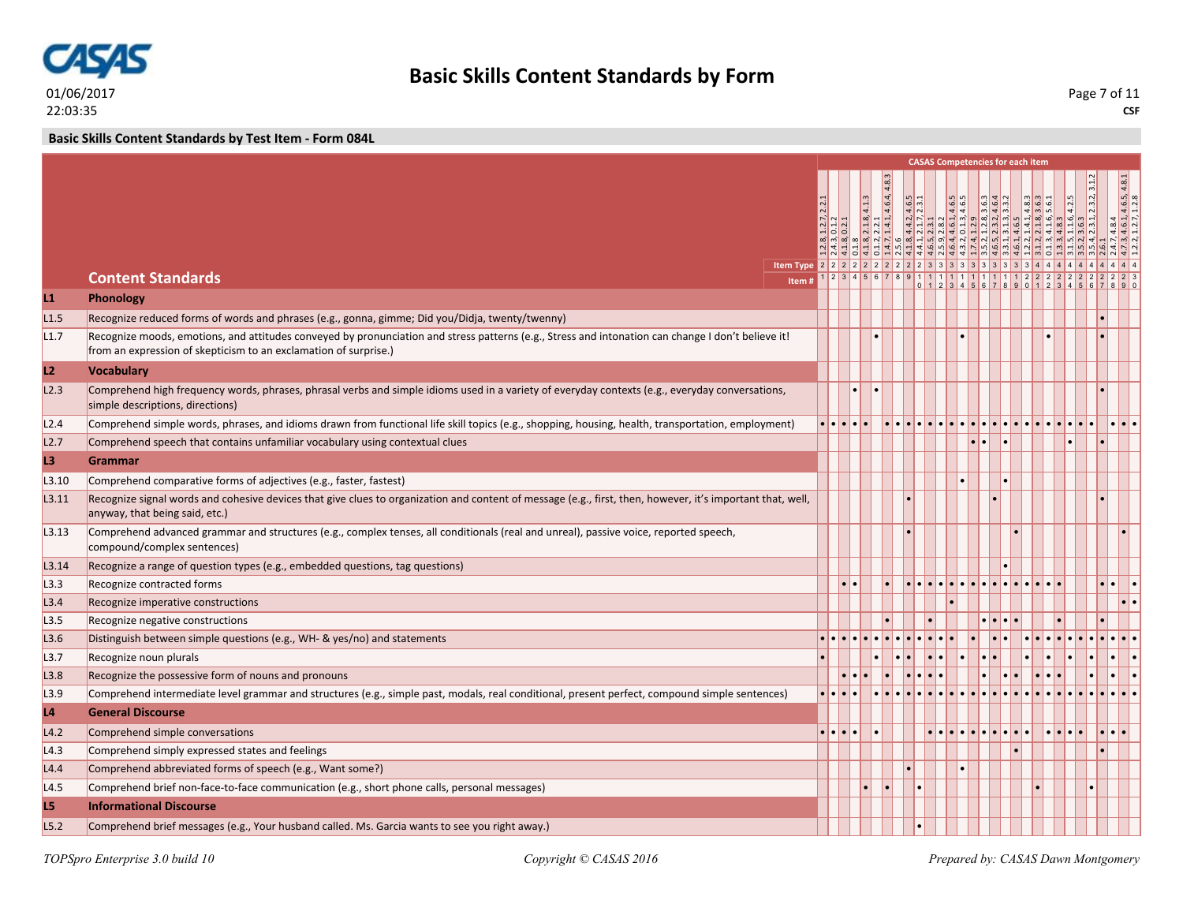

**Basic Skills Content Standards by Test Item - Form 084L**

|       |                                                                                                                                                                                                                        |         |  |  |  | <b>CASAS Competencies for each item</b> |  |   |  |                                                           |                 |
|-------|------------------------------------------------------------------------------------------------------------------------------------------------------------------------------------------------------------------------|---------|--|--|--|-----------------------------------------|--|---|--|-----------------------------------------------------------|-----------------|
|       |                                                                                                                                                                                                                        |         |  |  |  |                                         |  |   |  |                                                           |                 |
|       |                                                                                                                                                                                                                        |         |  |  |  |                                         |  |   |  | $, \frac{4.8.4}{4.6.1, 4.6.5, 4.8.1}$<br>, $1.2.7, 1.2.8$ |                 |
|       |                                                                                                                                                                                                                        |         |  |  |  |                                         |  |   |  |                                                           |                 |
|       |                                                                                                                                                                                                                        |         |  |  |  |                                         |  |   |  |                                                           |                 |
|       |                                                                                                                                                                                                                        |         |  |  |  |                                         |  |   |  |                                                           |                 |
|       | <b>Content Standards</b>                                                                                                                                                                                               |         |  |  |  |                                         |  |   |  |                                                           |                 |
|       | Item #                                                                                                                                                                                                                 |         |  |  |  |                                         |  |   |  |                                                           |                 |
| L1    | Phonology                                                                                                                                                                                                              |         |  |  |  |                                         |  |   |  |                                                           |                 |
| L1.5  | Recognize reduced forms of words and phrases (e.g., gonna, gimme; Did you/Didja, twenty/twenny)                                                                                                                        |         |  |  |  |                                         |  |   |  |                                                           |                 |
| L1.7  | Recognize moods, emotions, and attitudes conveyed by pronunciation and stress patterns (e.g., Stress and intonation can change I don't believe it!<br>from an expression of skepticism to an exclamation of surprise.) |         |  |  |  |                                         |  |   |  |                                                           |                 |
| L2    | <b>Vocabulary</b>                                                                                                                                                                                                      |         |  |  |  |                                         |  |   |  |                                                           |                 |
| L2.3  | Comprehend high frequency words, phrases, phrasal verbs and simple idioms used in a variety of everyday contexts (e.g., everyday conversations,<br>simple descriptions, directions)                                    |         |  |  |  |                                         |  |   |  |                                                           |                 |
| L2.4  | Comprehend simple words, phrases, and idioms drawn from functional life skill topics (e.g., shopping, housing, health, transportation, employment)                                                                     |         |  |  |  |                                         |  |   |  |                                                           |                 |
| L2.7  | Comprehend speech that contains unfamiliar vocabulary using contextual clues                                                                                                                                           |         |  |  |  |                                         |  |   |  |                                                           |                 |
| L3    | <b>Grammar</b>                                                                                                                                                                                                         |         |  |  |  |                                         |  |   |  |                                                           |                 |
| L3.10 | Comprehend comparative forms of adjectives (e.g., faster, fastest)                                                                                                                                                     |         |  |  |  |                                         |  |   |  |                                                           |                 |
| L3.11 | Recognize signal words and cohesive devices that give clues to organization and content of message (e.g., first, then, however, it's important that, well,<br>anyway, that being said, etc.)                           |         |  |  |  |                                         |  |   |  |                                                           |                 |
| L3.13 | Comprehend advanced grammar and structures (e.g., complex tenses, all conditionals (real and unreal), passive voice, reported speech,<br>compound/complex sentences)                                                   |         |  |  |  |                                         |  |   |  |                                                           |                 |
| L3.14 | Recognize a range of question types (e.g., embedded questions, tag questions)                                                                                                                                          |         |  |  |  |                                         |  |   |  |                                                           |                 |
| L3.3  | Recognize contracted forms                                                                                                                                                                                             |         |  |  |  |                                         |  | . |  |                                                           | ı.              |
| L3.4  | Recognize imperative constructions                                                                                                                                                                                     |         |  |  |  |                                         |  |   |  |                                                           | $\cdot$ $\cdot$ |
| L3.5  | Recognize negative constructions                                                                                                                                                                                       |         |  |  |  |                                         |  |   |  |                                                           |                 |
| L3.6  | Distinguish between simple questions (e.g., WH- & yes/no) and statements                                                                                                                                               |         |  |  |  |                                         |  |   |  |                                                           |                 |
| L3.7  | Recognize noun plurals                                                                                                                                                                                                 |         |  |  |  |                                         |  |   |  |                                                           |                 |
| L3.8  | Recognize the possessive form of nouns and pronouns                                                                                                                                                                    |         |  |  |  |                                         |  |   |  |                                                           |                 |
| L3.9  | Comprehend intermediate level grammar and structures (e.g., simple past, modals, real conditional, present perfect, compound simple sentences)                                                                         |         |  |  |  |                                         |  |   |  |                                                           |                 |
| L4    | <b>General Discourse</b>                                                                                                                                                                                               |         |  |  |  |                                         |  |   |  |                                                           |                 |
| L4.2  | Comprehend simple conversations                                                                                                                                                                                        | ململماء |  |  |  |                                         |  |   |  |                                                           |                 |
| L4.3  | Comprehend simply expressed states and feelings                                                                                                                                                                        |         |  |  |  |                                         |  |   |  |                                                           |                 |
| L4.4  | Comprehend abbreviated forms of speech (e.g., Want some?)                                                                                                                                                              |         |  |  |  |                                         |  |   |  |                                                           |                 |
| L4.5  | Comprehend brief non-face-to-face communication (e.g., short phone calls, personal messages)                                                                                                                           |         |  |  |  |                                         |  |   |  |                                                           |                 |
| L5    | <b>Informational Discourse</b>                                                                                                                                                                                         |         |  |  |  |                                         |  |   |  |                                                           |                 |
| L5.2  | Comprehend brief messages (e.g., Your husband called. Ms. Garcia wants to see you right away.)                                                                                                                         |         |  |  |  |                                         |  |   |  |                                                           |                 |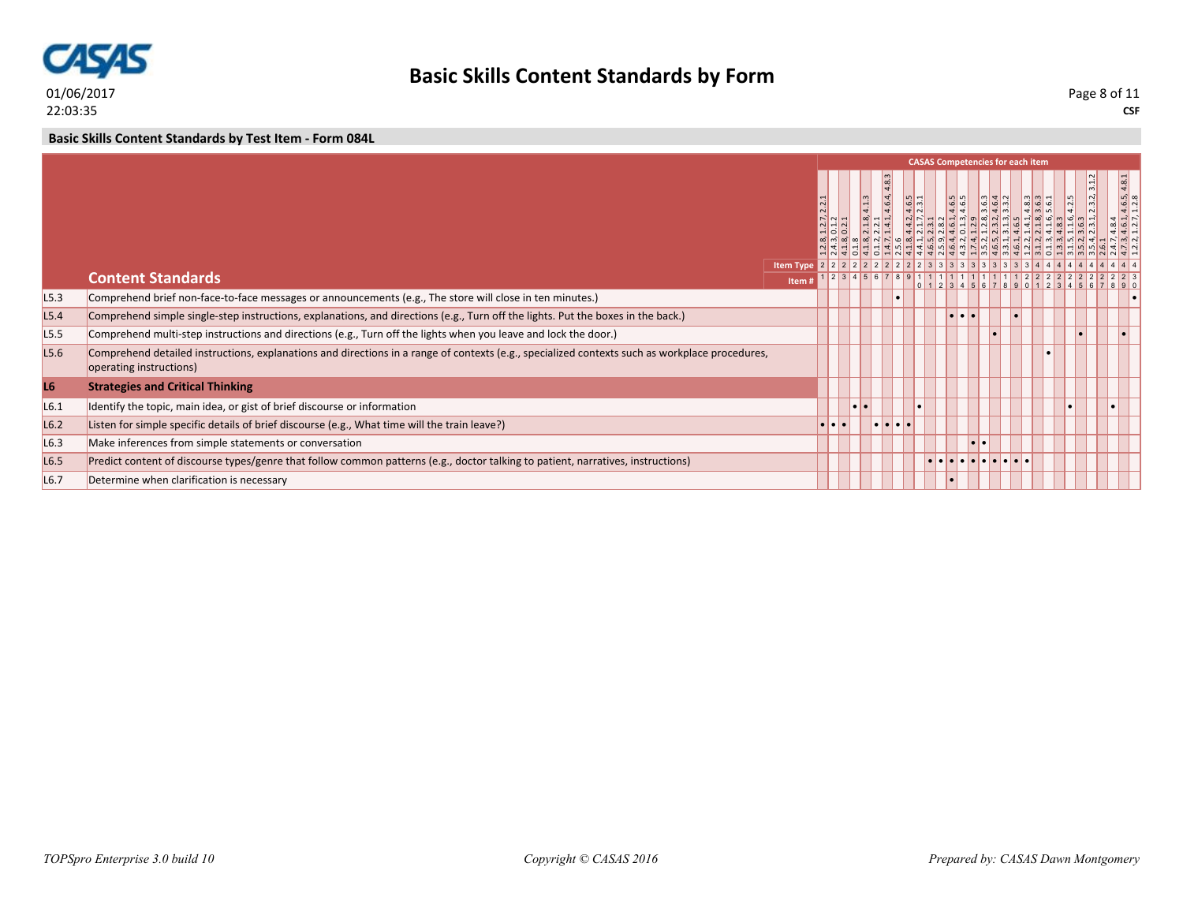

**Basic Skills Content Standards by Form**

**CSF** Page 8 of 11

**Basic Skills Content Standards by Test Item - Form 084L**

|                  |                                                                                                                                                                           |       |                                 |           |                           |                                           |                | <b>CASAS Competencies for each item</b> |   |                               |                                            |  |                                                   |
|------------------|---------------------------------------------------------------------------------------------------------------------------------------------------------------------------|-------|---------------------------------|-----------|---------------------------|-------------------------------------------|----------------|-----------------------------------------|---|-------------------------------|--------------------------------------------|--|---------------------------------------------------|
|                  |                                                                                                                                                                           |       | 2.2<br>$\frac{2.7}{1.2}$<br>ಸರಂ |           | $\infty$ $\left  \right $ |                                           | m <sub>1</sub> | 4.6.5                                   |   | $3.6.3$<br>$4.6.4$<br>$3.3.2$ | $\frac{33}{9}$ $\frac{3}{9}$ $\frac{1}{9}$ |  | $\frac{4.6.5}{1.2.8}$<br>$d$ $d$<br>$\frac{1}{2}$ |
|                  |                                                                                                                                                                           |       |                                 |           |                           |                                           |                |                                         |   |                               |                                            |  |                                                   |
|                  | <b>Content Standards</b>                                                                                                                                                  | Item# |                                 |           | 1 2 3 4 5 6 7 8 9 1 1 1   |                                           |                |                                         |   |                               |                                            |  |                                                   |
| L5.3             | Comprehend brief non-face-to-face messages or announcements (e.g., The store will close in ten minutes.)                                                                  |       |                                 |           |                           |                                           |                |                                         |   |                               |                                            |  |                                                   |
| L5.4             | Comprehend simple single-step instructions, explanations, and directions (e.g., Turn off the lights. Put the boxes in the back.)                                          |       |                                 |           |                           |                                           |                |                                         |   |                               |                                            |  |                                                   |
| L <sub>5.5</sub> | Comprehend multi-step instructions and directions (e.g., Turn off the lights when you leave and lock the door.)                                                           |       |                                 |           |                           |                                           |                |                                         |   |                               |                                            |  |                                                   |
| L5.6             | Comprehend detailed instructions, explanations and directions in a range of contexts (e.g., specialized contexts such as workplace procedures,<br>operating instructions) |       |                                 |           |                           |                                           |                |                                         |   |                               |                                            |  |                                                   |
| L6               | <b>Strategies and Critical Thinking</b>                                                                                                                                   |       |                                 |           |                           |                                           |                |                                         |   |                               |                                            |  |                                                   |
| L6.1             | Identify the topic, main idea, or gist of brief discourse or information                                                                                                  |       |                                 | $\bullet$ |                           |                                           |                |                                         |   |                               |                                            |  |                                                   |
| L6.2             | Listen for simple specific details of brief discourse (e.g., What time will the train leave?)                                                                             |       | $\blacksquare$                  |           |                           | $  \bullet   \bullet   \bullet   \bullet$ |                |                                         |   |                               |                                            |  |                                                   |
| L6.3             | Make inferences from simple statements or conversation                                                                                                                    |       |                                 |           |                           |                                           |                |                                         | o |                               |                                            |  |                                                   |
| L6.5             | Predict content of discourse types/genre that follow common patterns (e.g., doctor talking to patient, narratives, instructions)                                          |       |                                 |           |                           |                                           |                |                                         |   |                               |                                            |  |                                                   |
| L <sub>6.7</sub> | Determine when clarification is necessary                                                                                                                                 |       |                                 |           |                           |                                           |                |                                         |   |                               |                                            |  |                                                   |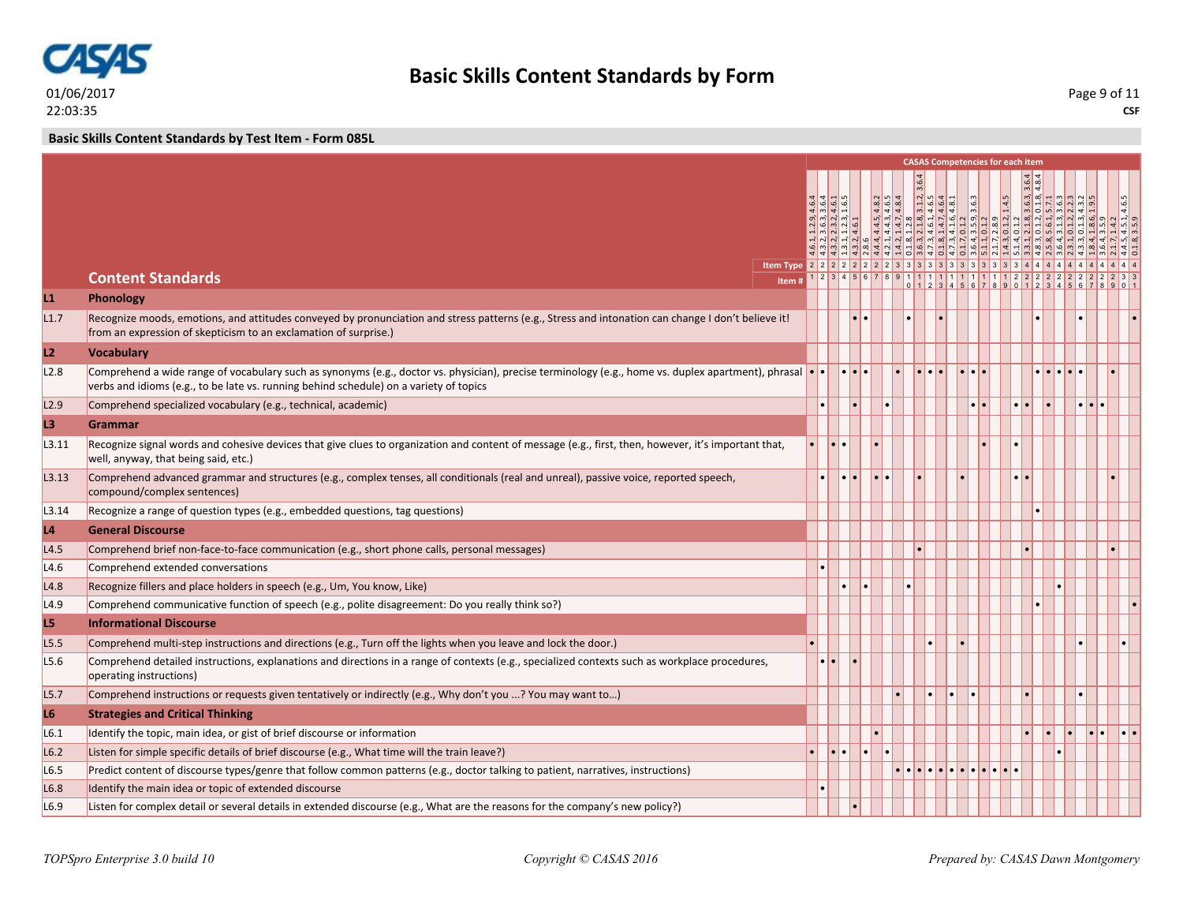

**Basic Skills Content Standards by Test Item - Form 085L**

|                |                                                                                                                                                                                                                                                       |                  |               |                |              |  |          | <b>CASAS Competencies for each item</b> |  |                                         |                     |      |
|----------------|-------------------------------------------------------------------------------------------------------------------------------------------------------------------------------------------------------------------------------------------------------|------------------|---------------|----------------|--------------|--|----------|-----------------------------------------|--|-----------------------------------------|---------------------|------|
|                |                                                                                                                                                                                                                                                       |                  |               |                |              |  |          |                                         |  |                                         |                     |      |
|                |                                                                                                                                                                                                                                                       |                  |               |                |              |  |          |                                         |  |                                         |                     |      |
|                |                                                                                                                                                                                                                                                       |                  |               |                |              |  |          |                                         |  |                                         |                     |      |
|                |                                                                                                                                                                                                                                                       |                  |               |                |              |  |          |                                         |  |                                         |                     |      |
|                |                                                                                                                                                                                                                                                       |                  |               |                |              |  |          | <u>4444449494949494949494</u>           |  |                                         |                     |      |
|                | <b>Content Standards</b><br>Item#                                                                                                                                                                                                                     |                  |               |                | 891111111111 |  |          |                                         |  | $0$ 1 2 3 4 5 6 7 8 9 0 1 2 3 4 5 6 7 8 |                     |      |
| L1             | <b>Phonology</b>                                                                                                                                                                                                                                      |                  |               |                |              |  |          |                                         |  |                                         |                     |      |
| L1.7           | Recognize moods, emotions, and attitudes conveyed by pronunciation and stress patterns (e.g., Stress and intonation can change I don't believe it!<br>from an expression of skepticism to an exclamation of surprise.)                                |                  |               | $\blacksquare$ |              |  |          |                                         |  |                                         |                     |      |
| L2             | <b>Vocabulary</b>                                                                                                                                                                                                                                     |                  |               |                |              |  |          |                                         |  |                                         |                     |      |
| L2.8           | Comprehend a wide range of vocabulary such as synonyms (e.g., doctor vs. physician), precise terminology (e.g., home vs. duplex apartment), phrasal $\cdot$<br>verbs and idioms (e.g., to be late vs. running behind schedule) on a variety of topics |                  | <b>1.1.1.</b> |                |              |  | le le le |                                         |  | a la la                                 |                     |      |
| L2.9           | Comprehend specialized vocabulary (e.g., technical, academic)                                                                                                                                                                                         |                  |               |                |              |  |          | $\bullet\bullet$                        |  |                                         |                     |      |
| L3             | <b>Grammar</b>                                                                                                                                                                                                                                        |                  |               |                |              |  |          |                                         |  |                                         |                     |      |
| L3.11          | Recognize signal words and cohesive devices that give clues to organization and content of message (e.g., first, then, however, it's important that,<br>well, anyway, that being said, etc.)                                                          | I۰I۰.            |               |                |              |  |          |                                         |  |                                         |                     |      |
| L3.13          | Comprehend advanced grammar and structures (e.g., complex tenses, all conditionals (real and unreal), passive voice, reported speech,<br>compound/complex sentences)                                                                                  |                  |               |                |              |  |          |                                         |  |                                         |                     |      |
| L3.14          | Recognize a range of question types (e.g., embedded questions, tag questions)                                                                                                                                                                         |                  |               |                |              |  |          |                                         |  |                                         |                     |      |
| L <sub>4</sub> | <b>General Discourse</b>                                                                                                                                                                                                                              |                  |               |                |              |  |          |                                         |  |                                         |                     |      |
| L4.5           | Comprehend brief non-face-to-face communication (e.g., short phone calls, personal messages)                                                                                                                                                          |                  |               |                |              |  |          |                                         |  |                                         |                     |      |
| L4.6           | Comprehend extended conversations                                                                                                                                                                                                                     |                  |               |                |              |  |          |                                         |  |                                         |                     |      |
| L4.8           | Recognize fillers and place holders in speech (e.g., Um, You know, Like)                                                                                                                                                                              |                  |               |                |              |  |          |                                         |  |                                         |                     |      |
| L4.9           | Comprehend communicative function of speech (e.g., polite disagreement: Do you really think so?)                                                                                                                                                      |                  |               |                |              |  |          |                                         |  |                                         |                     |      |
| L5             | <b>Informational Discourse</b>                                                                                                                                                                                                                        |                  |               |                |              |  |          |                                         |  |                                         |                     |      |
| L5.5           | Comprehend multi-step instructions and directions (e.g., Turn off the lights when you leave and lock the door.)                                                                                                                                       |                  |               |                |              |  |          |                                         |  |                                         |                     |      |
| L5.6           | Comprehend detailed instructions, explanations and directions in a range of contexts (e.g., specialized contexts such as workplace procedures,<br>operating instructions)                                                                             | $\bullet\bullet$ |               |                |              |  |          |                                         |  |                                         |                     |      |
| L5.7           | Comprehend instructions or requests given tentatively or indirectly (e.g., Why don't you ? You may want to)                                                                                                                                           |                  |               |                |              |  |          |                                         |  |                                         |                     |      |
| L <sub>6</sub> | <b>Strategies and Critical Thinking</b>                                                                                                                                                                                                               |                  |               |                |              |  |          |                                         |  |                                         |                     |      |
| L6.1           | Identify the topic, main idea, or gist of brief discourse or information                                                                                                                                                                              |                  |               |                |              |  |          |                                         |  |                                         | $\bullet$ $\bullet$ | •ا•ا |
| L6.2           | Listen for simple specific details of brief discourse (e.g., What time will the train leave?)                                                                                                                                                         |                  | l۰I۰          |                |              |  |          |                                         |  |                                         |                     |      |
| L6.5           | Predict content of discourse types/genre that follow common patterns (e.g., doctor talking to patient, narratives, instructions)                                                                                                                      |                  |               |                |              |  |          |                                         |  |                                         |                     |      |
| L6.8           | Identify the main idea or topic of extended discourse                                                                                                                                                                                                 |                  |               |                |              |  |          |                                         |  |                                         |                     |      |
| L6.9           | Listen for complex detail or several details in extended discourse (e.g., What are the reasons for the company's new policy?)                                                                                                                         |                  |               |                |              |  |          |                                         |  |                                         |                     |      |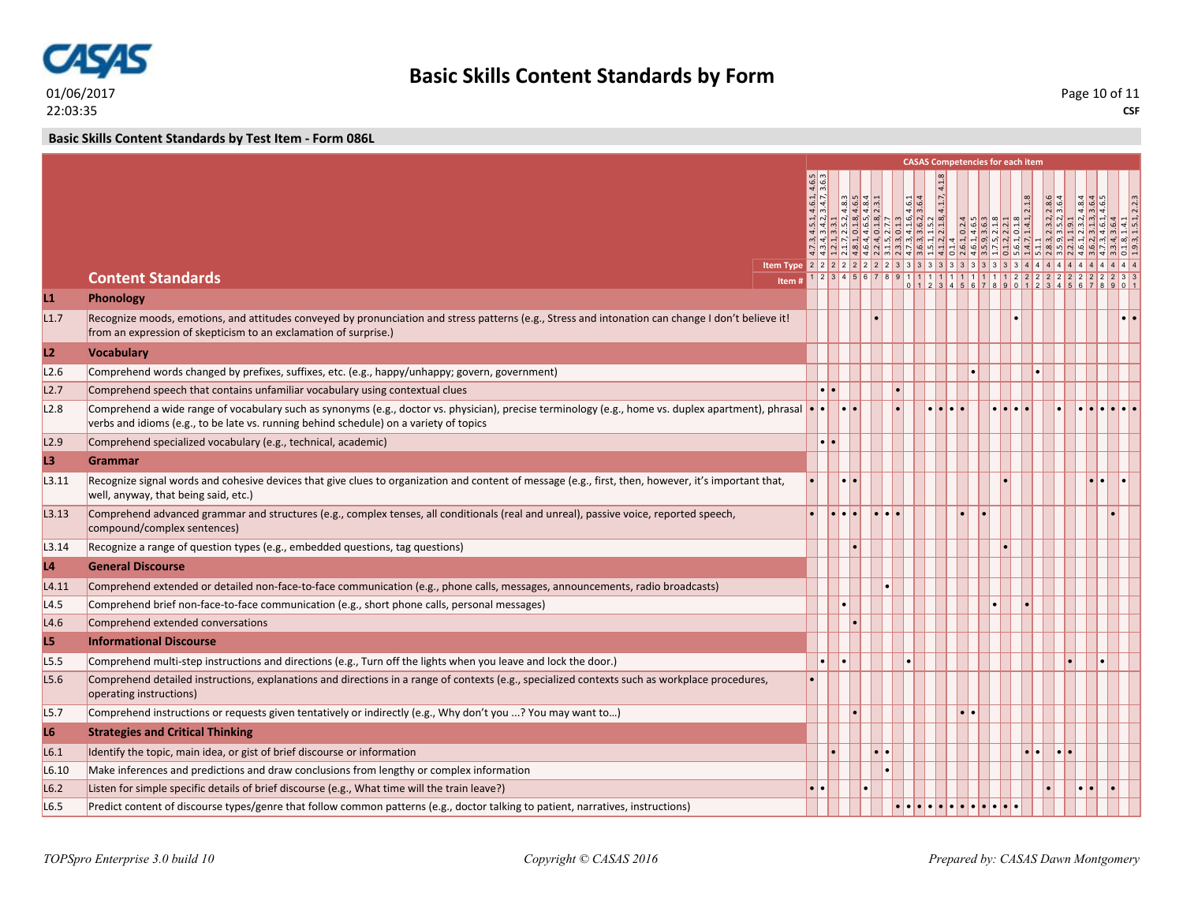

**Basic Skills Content Standards by Test Item - Form 086L**

|       |                                                                                                                                                                                                                                               |                          |       |                                                                                                                              |        |                                                                                                                                                                                                                                                                                                                     |                         | <b>CASAS Competencies for each item</b> |            |                     |                             |  |  |
|-------|-----------------------------------------------------------------------------------------------------------------------------------------------------------------------------------------------------------------------------------------------|--------------------------|-------|------------------------------------------------------------------------------------------------------------------------------|--------|---------------------------------------------------------------------------------------------------------------------------------------------------------------------------------------------------------------------------------------------------------------------------------------------------------------------|-------------------------|-----------------------------------------|------------|---------------------|-----------------------------|--|--|
|       |                                                                                                                                                                                                                                               |                          |       |                                                                                                                              |        |                                                                                                                                                                                                                                                                                                                     |                         |                                         |            |                     |                             |  |  |
|       |                                                                                                                                                                                                                                               |                          | m n 4 | $\begin{array}{ c c c c c }\n\hline\n4 & 4 & 8 & 1 \\ \hline\n4 & 6 & 8 & 1 \\ \hline\n4 & 8 & 1 & 1 \\ \hline\n\end{array}$ |        |                                                                                                                                                                                                                                                                                                                     | 4.1.7.4                 |                                         |            |                     |                             |  |  |
|       |                                                                                                                                                                                                                                               |                          |       |                                                                                                                              |        | $\frac{16}{4}$<br>$\begin{array}{cccccc}\n3.4.2, & 3.3.1 \\ 3.3.1, & 2.5.2, & 3.3.1 \\ 2.6.5, & 3.7.7, & 3.5.2\n\end{array}$                                                                                                                                                                                        |                         |                                         |            |                     | $\frac{1}{2}$ $\frac{1}{2}$ |  |  |
|       |                                                                                                                                                                                                                                               |                          |       |                                                                                                                              |        | $\frac{1}{2}$ 4 4 4 $\frac{1}{2}$ 4 $\frac{1}{2}$ 4 $\frac{1}{2}$ 4 $\frac{1}{2}$ 4 $\frac{1}{2}$ 4 $\frac{1}{2}$ 4 $\frac{1}{2}$ 4 $\frac{1}{2}$ 4 $\frac{1}{2}$                                                                                                                                                   |                         |                                         |            |                     |                             |  |  |
|       |                                                                                                                                                                                                                                               |                          |       |                                                                                                                              |        | $\frac{1}{4}$ $\frac{1}{4}$ $\frac{1}{1}$ $\frac{1}{1}$ $\frac{1}{1}$ $\frac{1}{1}$ $\frac{1}{1}$ $\frac{1}{1}$ $\frac{1}{1}$ $\frac{1}{1}$ $\frac{1}{1}$ $\frac{1}{1}$ $\frac{1}{1}$ $\frac{1}{1}$ $\frac{1}{1}$ $\frac{1}{1}$ $\frac{1}{1}$ $\frac{1}{1}$ $\frac{1}{1}$ $\frac{1}{1}$ $\frac{1}{1}$ $\frac{1}{1}$ |                         |                                         |            |                     |                             |  |  |
|       | <b>Content Standards</b><br>Item#                                                                                                                                                                                                             |                          |       |                                                                                                                              |        |                                                                                                                                                                                                                                                                                                                     |                         |                                         |            |                     |                             |  |  |
| L1    | <b>Phonology</b>                                                                                                                                                                                                                              |                          |       |                                                                                                                              |        |                                                                                                                                                                                                                                                                                                                     |                         |                                         |            |                     |                             |  |  |
| L1.7  | Recognize moods, emotions, and attitudes conveyed by pronunciation and stress patterns (e.g., Stress and intonation can change I don't believe it!<br>from an expression of skepticism to an exclamation of surprise.)                        |                          |       |                                                                                                                              |        |                                                                                                                                                                                                                                                                                                                     |                         |                                         |            |                     |                             |  |  |
| L2    | <b>Vocabulary</b>                                                                                                                                                                                                                             |                          |       |                                                                                                                              |        |                                                                                                                                                                                                                                                                                                                     |                         |                                         |            |                     |                             |  |  |
| L2.6  | Comprehend words changed by prefixes, suffixes, etc. (e.g., happy/unhappy; govern, government)                                                                                                                                                |                          |       |                                                                                                                              |        |                                                                                                                                                                                                                                                                                                                     |                         |                                         |            |                     |                             |  |  |
| L2.7  | Comprehend speech that contains unfamiliar vocabulary using contextual clues                                                                                                                                                                  |                          |       |                                                                                                                              |        |                                                                                                                                                                                                                                                                                                                     |                         |                                         |            |                     |                             |  |  |
| L2.8  | Comprehend a wide range of vocabulary such as synonyms (e.g., doctor vs. physician), precise terminology (e.g., home vs. duplex apartment), phrasal<br>verbs and idioms (e.g., to be late vs. running behind schedule) on a variety of topics | $\overline{\phantom{a}}$ |       |                                                                                                                              |        |                                                                                                                                                                                                                                                                                                                     | $\bullet\bullet\bullet$ |                                         |            |                     |                             |  |  |
| L2.9  | Comprehend specialized vocabulary (e.g., technical, academic)                                                                                                                                                                                 | $\bullet\bullet$         |       |                                                                                                                              |        |                                                                                                                                                                                                                                                                                                                     |                         |                                         |            |                     |                             |  |  |
| L3    | <b>Grammar</b>                                                                                                                                                                                                                                |                          |       |                                                                                                                              |        |                                                                                                                                                                                                                                                                                                                     |                         |                                         |            |                     |                             |  |  |
| L3.11 | Recognize signal words and cohesive devices that give clues to organization and content of message (e.g., first, then, however, it's important that,<br>well, anyway, that being said, etc.)                                                  |                          |       |                                                                                                                              |        |                                                                                                                                                                                                                                                                                                                     |                         |                                         |            |                     |                             |  |  |
| L3.13 | Comprehend advanced grammar and structures (e.g., complex tenses, all conditionals (real and unreal), passive voice, reported speech,<br>compound/complex sentences)                                                                          | $  \cdot   \cdot  $      |       |                                                                                                                              | lololo |                                                                                                                                                                                                                                                                                                                     |                         |                                         |            |                     |                             |  |  |
| L3.14 | Recognize a range of question types (e.g., embedded questions, tag questions)                                                                                                                                                                 |                          |       |                                                                                                                              |        |                                                                                                                                                                                                                                                                                                                     |                         |                                         |            |                     |                             |  |  |
| L4    | <b>General Discourse</b>                                                                                                                                                                                                                      |                          |       |                                                                                                                              |        |                                                                                                                                                                                                                                                                                                                     |                         |                                         |            |                     |                             |  |  |
| L4.11 | Comprehend extended or detailed non-face-to-face communication (e.g., phone calls, messages, announcements, radio broadcasts)                                                                                                                 |                          |       |                                                                                                                              |        |                                                                                                                                                                                                                                                                                                                     |                         |                                         |            |                     |                             |  |  |
| L4.5  | Comprehend brief non-face-to-face communication (e.g., short phone calls, personal messages)                                                                                                                                                  |                          |       |                                                                                                                              |        |                                                                                                                                                                                                                                                                                                                     |                         |                                         |            |                     |                             |  |  |
| L4.6  | Comprehend extended conversations                                                                                                                                                                                                             |                          |       |                                                                                                                              |        |                                                                                                                                                                                                                                                                                                                     |                         |                                         |            |                     |                             |  |  |
| L5    | <b>Informational Discourse</b>                                                                                                                                                                                                                |                          |       |                                                                                                                              |        |                                                                                                                                                                                                                                                                                                                     |                         |                                         |            |                     |                             |  |  |
| L5.5  | Comprehend multi-step instructions and directions (e.g., Turn off the lights when you leave and lock the door.)                                                                                                                               |                          |       |                                                                                                                              |        |                                                                                                                                                                                                                                                                                                                     |                         |                                         |            |                     |                             |  |  |
| L5.6  | Comprehend detailed instructions, explanations and directions in a range of contexts (e.g., specialized contexts such as workplace procedures,<br>operating instructions)                                                                     |                          |       |                                                                                                                              |        |                                                                                                                                                                                                                                                                                                                     |                         |                                         |            |                     |                             |  |  |
| L5.7  | Comprehend instructions or requests given tentatively or indirectly (e.g., Why don't you ? You may want to)                                                                                                                                   |                          |       |                                                                                                                              |        |                                                                                                                                                                                                                                                                                                                     |                         |                                         |            |                     |                             |  |  |
| L6    | <b>Strategies and Critical Thinking</b>                                                                                                                                                                                                       |                          |       |                                                                                                                              |        |                                                                                                                                                                                                                                                                                                                     |                         |                                         |            |                     |                             |  |  |
| L6.1  | Identify the topic, main idea, or gist of brief discourse or information                                                                                                                                                                      |                          |       |                                                                                                                              |        |                                                                                                                                                                                                                                                                                                                     |                         |                                         |            | $\bullet$ $\bullet$ |                             |  |  |
| L6.10 | Make inferences and predictions and draw conclusions from lengthy or complex information                                                                                                                                                      |                          |       |                                                                                                                              |        |                                                                                                                                                                                                                                                                                                                     |                         |                                         |            |                     |                             |  |  |
| L6.2  | Listen for simple specific details of brief discourse (e.g., What time will the train leave?)                                                                                                                                                 |                          |       |                                                                                                                              |        |                                                                                                                                                                                                                                                                                                                     |                         |                                         |            |                     |                             |  |  |
| L6.5  | Predict content of discourse types/genre that follow common patterns (e.g., doctor talking to patient, narratives, instructions)                                                                                                              |                          |       |                                                                                                                              |        | . <b>.</b>                                                                                                                                                                                                                                                                                                          |                         |                                         | <b>. .</b> |                     |                             |  |  |